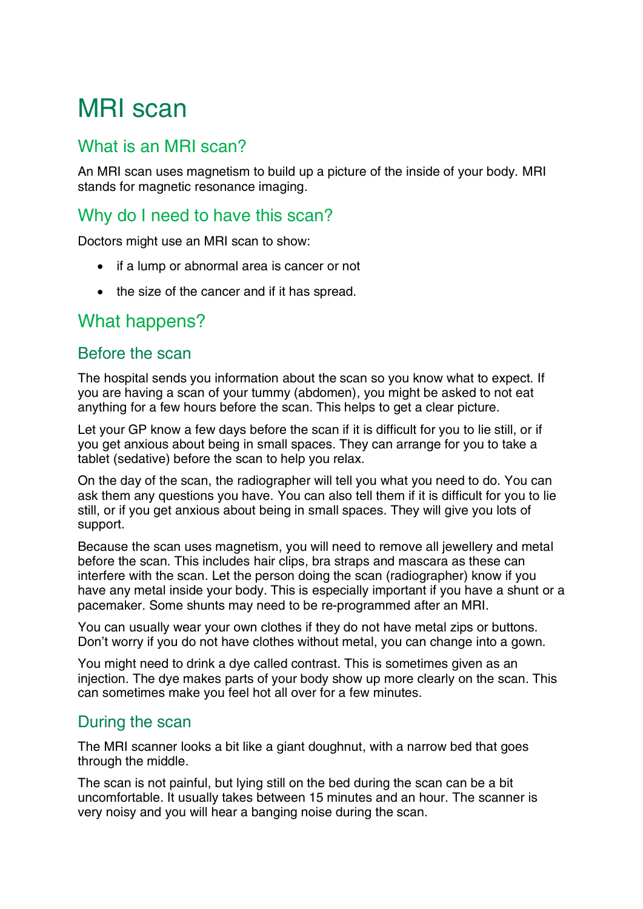# MRI scan

## What is an MRI scan?

An MRI scan uses magnetism to build up a picture of the inside of your body. MRI stands for magnetic resonance imaging.

## Why do I need to have this scan?

Doctors might use an MRI scan to show:

- if a lump or abnormal area is cancer or not
- the size of the cancer and if it has spread.

## What happens?

#### Before the scan

The hospital sends you information about the scan so you know what to expect. If you are having a scan of your tummy (abdomen), you might be asked to not eat anything for a few hours before the scan. This helps to get a clear picture.

Let your GP know a few days before the scan if it is difficult for you to lie still, or if you get anxious about being in small spaces. They can arrange for you to take a tablet (sedative) before the scan to help you relax.

On the day of the scan, the radiographer will tell you what you need to do. You can ask them any questions you have. You can also tell them if it is difficult for you to lie still, or if you get anxious about being in small spaces. They will give you lots of support.

Because the scan uses magnetism, you will need to remove all jewellery and metal before the scan. This includes hair clips, bra straps and mascara as these can interfere with the scan. Let the person doing the scan (radiographer) know if you have any metal inside your body. This is especially important if you have a shunt or a pacemaker. Some shunts may need to be re-programmed after an MRI.

You can usually wear your own clothes if they do not have metal zips or buttons. Don't worry if you do not have clothes without metal, you can change into a gown.

You might need to drink a dye called contrast. This is sometimes given as an injection. The dye makes parts of your body show up more clearly on the scan. This can sometimes make you feel hot all over for a few minutes.

#### During the scan

The MRI scanner looks a bit like a giant doughnut, with a narrow bed that goes through the middle.

The scan is not painful, but lying still on the bed during the scan can be a bit uncomfortable. It usually takes between 15 minutes and an hour. The scanner is very noisy and you will hear a banging noise during the scan.